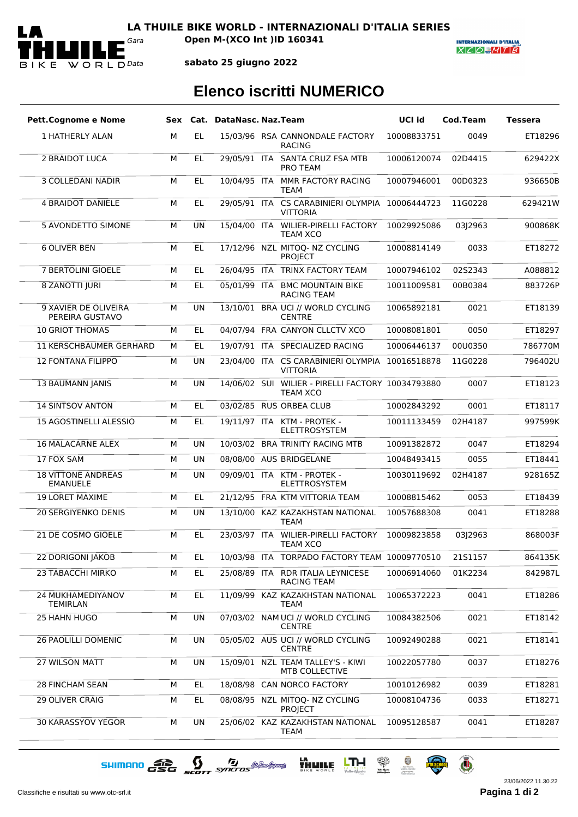

*Gara* **Open M-(XCO Int )ID 160341**

**INTERNAZIONALI D'ITALIA**  $X|C|O=M|T|B$ 

**sabato 25 giugno 2022**

## **Elenco iscritti NUMERICO**

| <b>Pett.Cognome e Nome</b>                   |   |           | Sex Cat. DataNasc. Naz. Team |                                                                      | UCI id      | Cod.Team | <b>Tessera</b> |
|----------------------------------------------|---|-----------|------------------------------|----------------------------------------------------------------------|-------------|----------|----------------|
| 1 HATHERLY ALAN                              | М | EL.       |                              | 15/03/96 RSA CANNONDALE FACTORY<br><b>RACING</b>                     | 10008833751 | 0049     | ET18296        |
| 2 BRAIDOT LUCA                               | M | EL.       |                              | 29/05/91 ITA SANTA CRUZ FSA MTB<br><b>PRO TEAM</b>                   | 10006120074 | 02D4415  | 629422X        |
| <b>3 COLLEDANI NADIR</b>                     | M | EL        |                              | 10/04/95 ITA MMR FACTORY RACING<br><b>TEAM</b>                       | 10007946001 | 00D0323  | 936650B        |
| <b>4 BRAIDOT DANIELE</b>                     | М | EL.       |                              | 29/05/91 ITA CS CARABINIERI OLYMPIA 10006444723<br><b>VITTORIA</b>   |             | 11G0228  | 629421W        |
| <b>5 AVONDETTO SIMONE</b>                    | M | <b>UN</b> |                              | 15/04/00 ITA WILIER-PIRELLI FACTORY<br><b>TEAM XCO</b>               | 10029925086 | 03J2963  | 900868K        |
| <b>6 OLIVER BEN</b>                          | M | EL        |                              | 17/12/96 NZL MITOQ- NZ CYCLING<br><b>PROJECT</b>                     | 10008814149 | 0033     | ET18272        |
| 7 BERTOLINI GIOELE                           | М | EL        |                              | 26/04/95 ITA TRINX FACTORY TEAM                                      | 10007946102 | 02S2343  | A088812        |
| <b>8 ZANOTTI JURI</b>                        | М | EL.       |                              | 05/01/99 ITA BMC MOUNTAIN BIKE<br><b>RACING TEAM</b>                 | 10011009581 | 00B0384  | 883726P        |
| 9 XAVIER DE OLIVEIRA<br>PEREIRA GUSTAVO      | М | <b>UN</b> |                              | 13/10/01 BRA UCI // WORLD CYCLING<br><b>CENTRE</b>                   | 10065892181 | 0021     | ET18139        |
| <b>10 GRIOT THOMAS</b>                       | М | <b>EL</b> |                              | 04/07/94 FRA CANYON CLLCTV XCO                                       | 10008081801 | 0050     | ET18297        |
| 11 KERSCHBAUMER GERHARD                      | М | EL        |                              | 19/07/91 ITA SPECIALIZED RACING                                      | 10006446137 | 00U0350  | 786770M        |
| <b>12 FONTANA FILIPPO</b>                    | М | UN        |                              | 23/04/00 ITA CS CARABINIERI OLYMPIA 10016518878<br><b>VITTORIA</b>   |             | 11G0228  | 796402U        |
| <b>13 BAUMANN JANIS</b>                      | М | <b>UN</b> |                              | 14/06/02 SUI WILIER - PIRELLI FACTORY 10034793880<br><b>TEAM XCO</b> |             | 0007     | ET18123        |
| <b>14 SINTSOV ANTON</b>                      | М | <b>EL</b> |                              | 03/02/85 RUS ORBEA CLUB                                              | 10002843292 | 0001     | ET18117        |
| 15 AGOSTINELLI ALESSIO                       | М | EL        |                              | 19/11/97 ITA KTM - PROTEK -<br><b>ELETTROSYSTEM</b>                  | 10011133459 | 02H4187  | 997599K        |
| <b>16 MALACARNE ALEX</b>                     | М | UN        |                              | 10/03/02 BRA TRINITY RACING MTB                                      | 10091382872 | 0047     | ET18294        |
| 17 FOX SAM                                   | М | <b>UN</b> |                              | 08/08/00 AUS BRIDGELANE                                              | 10048493415 | 0055     | ET18441        |
| <b>18 VITTONE ANDREAS</b><br><b>EMANUELE</b> | М | <b>UN</b> |                              | 09/09/01 ITA KTM - PROTEK -<br><b>ELETTROSYSTEM</b>                  | 10030119692 | 02H4187  | 928165Z        |
| <b>19 LORET MAXIME</b>                       | М | EL        |                              | 21/12/95 FRA KTM VITTORIA TEAM                                       | 10008815462 | 0053     | ET18439        |
| <b>20 SERGIYENKO DENIS</b>                   | М | <b>UN</b> |                              | 13/10/00 KAZ KAZAKHSTAN NATIONAL<br><b>TEAM</b>                      | 10057688308 | 0041     | ET18288        |
| 21 DE COSMO GIOELE                           | М | EL        |                              | 23/03/97 ITA WILIER-PIRELLI FACTORY<br>TFAM XCO                      | 10009823858 | 03J2963  | 868003F        |
| <b>22 DORIGONI JAKOB</b>                     | м | EL        |                              | 10/03/98 ITA TORPADO FACTORY TEAM 10009770510                        |             | 2151157  | 864135K        |
| 23 TABACCHI MIRKO                            | М | EL.       |                              | 25/08/89 ITA RDR ITALIA LEYNICESE<br><b>RACING TEAM</b>              | 10006914060 | 01K2234  | 842987L        |
| 24 MUKHAMEDIYANOV<br><b>TEMIRLAN</b>         | М | EL        |                              | 11/09/99 KAZ KAZAKHSTAN NATIONAL<br>TEAM                             | 10065372223 | 0041     | ET18286        |
| 25 HAHN HUGO                                 | М | UN        |                              | 07/03/02 NAM UCI // WORLD CYCLING<br><b>CENTRE</b>                   | 10084382506 | 0021     | ET18142        |
| <b>26 PAOLILLI DOMENIC</b>                   | М | UN        |                              | 05/05/02 AUS UCI // WORLD CYCLING<br><b>CENTRE</b>                   | 10092490288 | 0021     | ET18141        |
| <b>27 WILSON MATT</b>                        | M | UN        |                              | 15/09/01 NZL TEAM TALLEY'S - KIWI<br>MTB COLLECTIVE                  | 10022057780 | 0037     | ET18276        |
| <b>28 FINCHAM SEAN</b>                       | М | EL        |                              | 18/08/98 CAN NORCO FACTORY                                           | 10010126982 | 0039     | ET18281        |
| <b>29 OLIVER CRAIG</b>                       | М | EL        |                              | 08/08/95 NZL MITOQ- NZ CYCLING<br><b>PROJECT</b>                     | 10008104736 | 0033     | ET18271        |
| 30 KARASSYOV YEGOR                           | М | UN        |                              | 25/06/02 KAZ KAZAKHSTAN NATIONAL<br><b>TEAM</b>                      | 10095128587 | 0041     | ET18287        |

SHIMANO GSG SCOTT SYNCTOS @ MARIAM THE UTH REAL PROPERTY

Classifiche e risultati su www.otc-srl.it **Pagina 1 di**